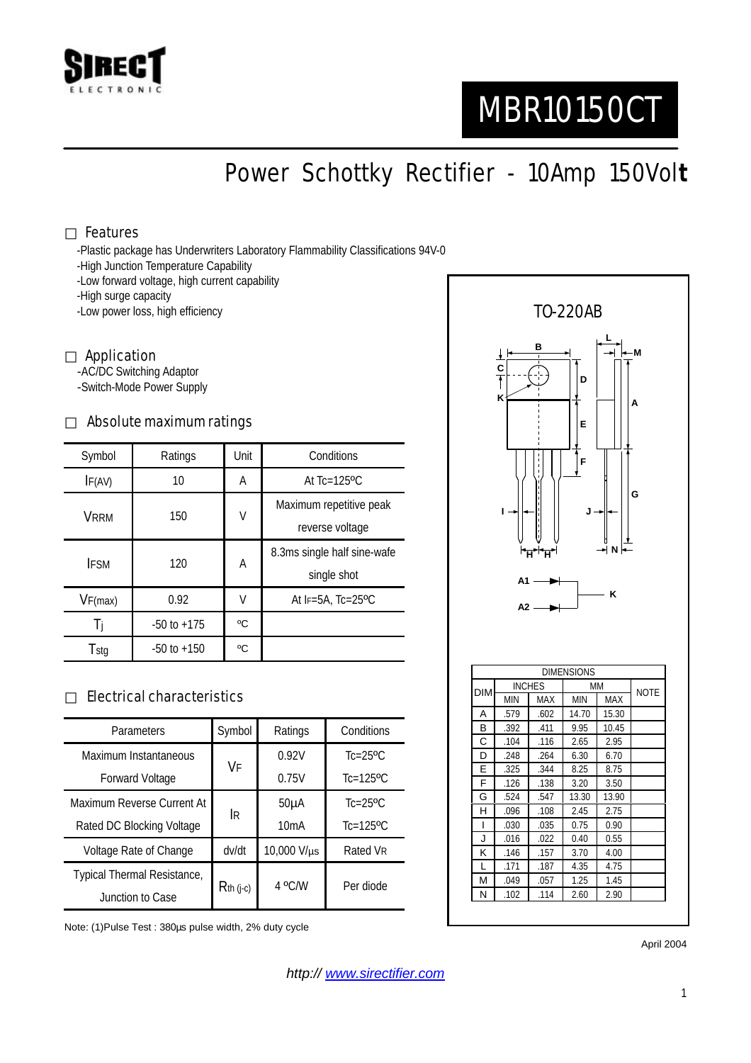

# MBR10150CT

Power Schottky Rectifier - 10Amp 150Vol**t**

#### Features

-Plastic package has Underwriters Laboratory Flammability Classifications 94V-0

- -High Junction Temperature Capability
- -Low forward voltage, high current capability

-High surge capacity

-Low power loss, high efficiency

#### Application

-AC/DC Switching Adaptor -Switch-Mode Power Supply

## Absolute maximum ratings

| Symbol      | Ratings         | Unit | Conditions                                 |  |
|-------------|-----------------|------|--------------------------------------------|--|
| IF(AV)      | 10              | A    | At $Tc=125$ <sup>o</sup> $C$               |  |
| <b>VRRM</b> | 150             | V    | Maximum repetitive peak<br>reverse voltage |  |
| <b>IFSM</b> | 120             | A    | 8.3ms single half sine-wafe<br>single shot |  |
| VF(max)     | 0.92            | V    | At $F=5A$ , Tc=25°C                        |  |
| Ti          | $-50$ to $+175$ | °C   |                                            |  |
| Tstg        | $-50$ to $+150$ | °C   |                                            |  |

### Electrical characteristics

| Parameters                         | Symbol       | Ratings           | Conditions                |
|------------------------------------|--------------|-------------------|---------------------------|
| Maximum Instantaneous              | VF           | 0.92V             | $Tc=25$ <sup>o</sup> $C$  |
| <b>Forward Voltage</b>             |              | 0.75V             | $Tc=125$ <sup>o</sup> $C$ |
| Maximum Reverse Current At         | <b>IR</b>    | 50 <sub>µ</sub> A | $Tc=25$ <sup>o</sup> $C$  |
| Rated DC Blocking Voltage          |              | 10mA              | $Tc=125$ <sup>o</sup> $C$ |
| Voltage Rate of Change             | dv/dt        | 10,000 V/µs       | Rated VR                  |
| <b>Typical Thermal Resistance,</b> | $R$ th (j-c) | 4 °C/W            | Per diode                 |
| Junction to Case                   |              |                   |                           |

Note: (1)Pulse Test : 380µs pulse width, 2% duty cycle



N .102 .114 2.60 2.90

April 2004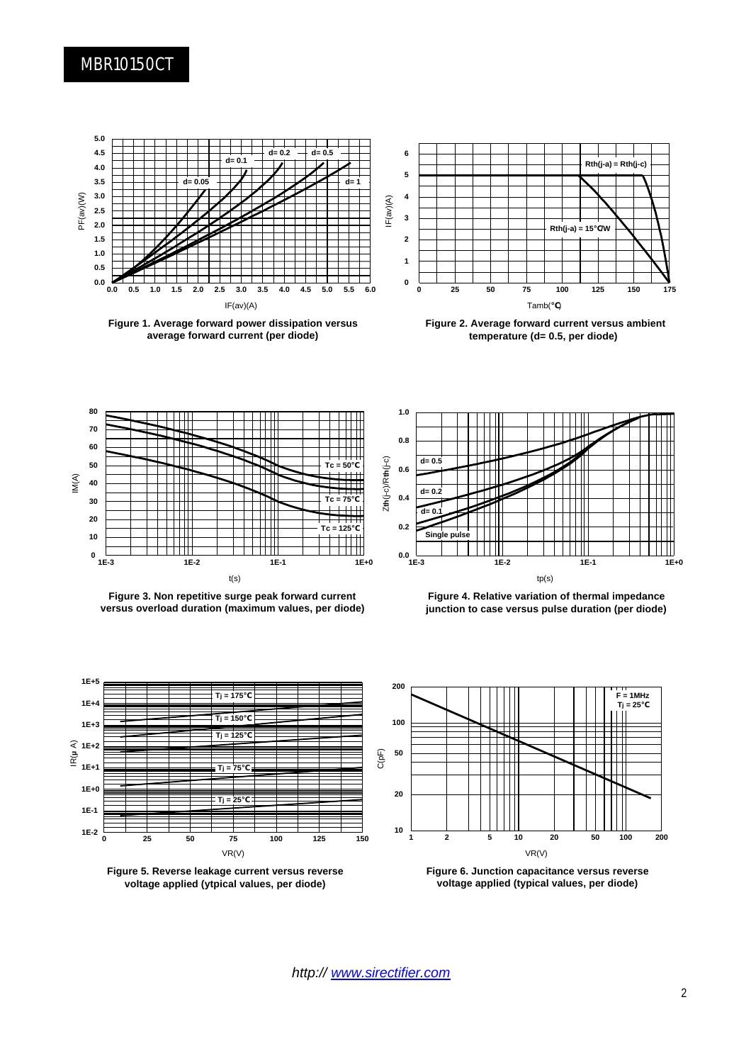## MBR10150CT



**Figure 1. Average forward power dissipation versus average forward current (per diode)**



**Figure 2. Average forward current versus ambient temperature (d= 0.5, per diode)**



**Figure 3. Non repetitive surge peak forward current versus overload duration (maximum values, per diode)**











**Figure 6. Junction capacitance versus reverse voltage applied (typical values, per diode)**

*http:// www.sirectifier.com*